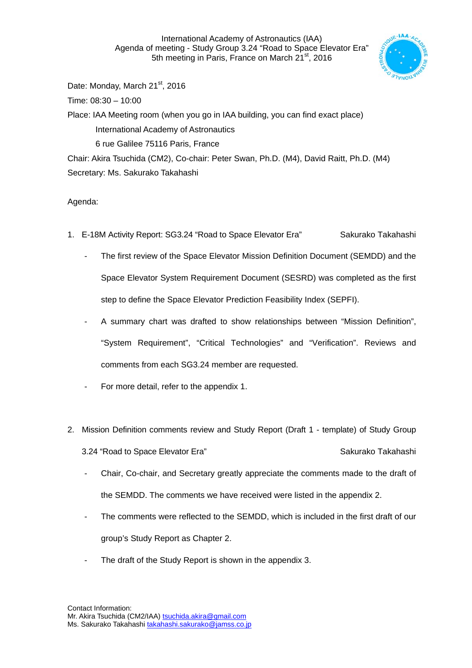International Academy of Astronautics (IAA) Agenda of meeting - Study Group 3.24 "Road to Space Elevator Era" 5th meeting in Paris, France on March 21<sup>st</sup>, 2016



Date: Monday, March 21<sup>st</sup>, 2016 Time: 08:30 – 10:00 Place: IAA Meeting room (when you go in IAA building, you can find exact place) International Academy of Astronautics 6 rue Galilee 75116 Paris, France Chair: Akira Tsuchida (CM2), Co-chair: Peter Swan, Ph.D. (M4), David Raitt, Ph.D. (M4)

Secretary: Ms. Sakurako Takahashi

Agenda:

- 1. E-18M Activity Report: SG3.24 "Road to Space Elevator Era" Sakurako Takahashi
	- The first review of the Space Elevator Mission Definition Document (SEMDD) and the Space Elevator System Requirement Document (SESRD) was completed as the first step to define the Space Elevator Prediction Feasibility Index (SEPFI).
	- A summary chart was drafted to show relationships between "Mission Definition", "System Requirement", "Critical Technologies" and "Verification". Reviews and comments from each SG3.24 member are requested.
	- For more detail, refer to the appendix 1.
- 2. Mission Definition comments review and Study Report (Draft 1 template) of Study Group 3.24 "Road to Space Elevator Era" Sakurako Takahashi
	- Chair, Co-chair, and Secretary greatly appreciate the comments made to the draft of the SEMDD. The comments we have received were listed in the appendix 2.
	- The comments were reflected to the SEMDD, which is included in the first draft of our group's Study Report as Chapter 2.
	- The draft of the Study Report is shown in the appendix 3.